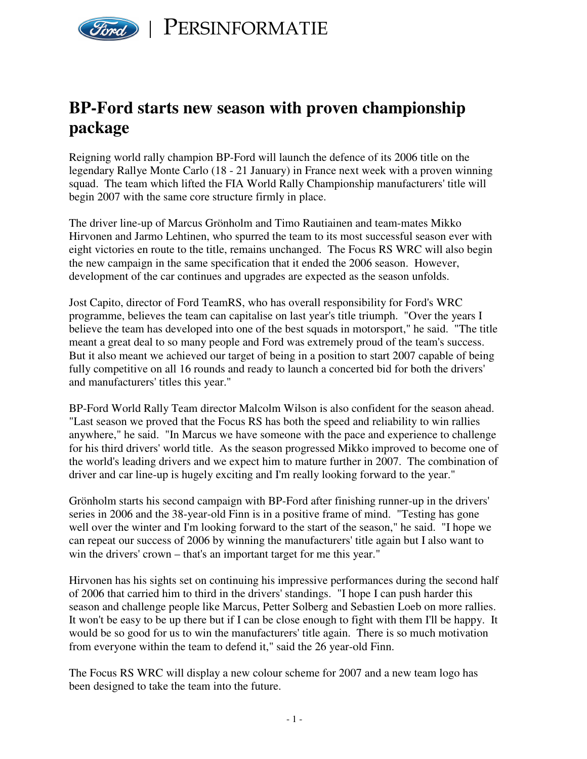

## **BP-Ford starts new season with proven championship package**

Reigning world rally champion BP-Ford will launch the defence of its 2006 title on the legendary Rallye Monte Carlo (18 - 21 January) in France next week with a proven winning squad. The team which lifted the FIA World Rally Championship manufacturers' title will begin 2007 with the same core structure firmly in place.

The driver line-up of Marcus Grönholm and Timo Rautiainen and team-mates Mikko Hirvonen and Jarmo Lehtinen, who spurred the team to its most successful season ever with eight victories en route to the title, remains unchanged. The Focus RS WRC will also begin the new campaign in the same specification that it ended the 2006 season. However, development of the car continues and upgrades are expected as the season unfolds.

Jost Capito, director of Ford TeamRS, who has overall responsibility for Ford's WRC programme, believes the team can capitalise on last year's title triumph. "Over the years I believe the team has developed into one of the best squads in motorsport," he said. "The title meant a great deal to so many people and Ford was extremely proud of the team's success. But it also meant we achieved our target of being in a position to start 2007 capable of being fully competitive on all 16 rounds and ready to launch a concerted bid for both the drivers' and manufacturers' titles this year."

BP-Ford World Rally Team director Malcolm Wilson is also confident for the season ahead. "Last season we proved that the Focus RS has both the speed and reliability to win rallies anywhere," he said. "In Marcus we have someone with the pace and experience to challenge for his third drivers' world title. As the season progressed Mikko improved to become one of the world's leading drivers and we expect him to mature further in 2007. The combination of driver and car line-up is hugely exciting and I'm really looking forward to the year."

Grönholm starts his second campaign with BP-Ford after finishing runner-up in the drivers' series in 2006 and the 38-year-old Finn is in a positive frame of mind. "Testing has gone well over the winter and I'm looking forward to the start of the season," he said. "I hope we can repeat our success of 2006 by winning the manufacturers' title again but I also want to win the drivers' crown – that's an important target for me this year."

Hirvonen has his sights set on continuing his impressive performances during the second half of 2006 that carried him to third in the drivers' standings. "I hope I can push harder this season and challenge people like Marcus, Petter Solberg and Sebastien Loeb on more rallies. It won't be easy to be up there but if I can be close enough to fight with them I'll be happy. It would be so good for us to win the manufacturers' title again. There is so much motivation from everyone within the team to defend it," said the 26 year-old Finn.

The Focus RS WRC will display a new colour scheme for 2007 and a new team logo has been designed to take the team into the future.